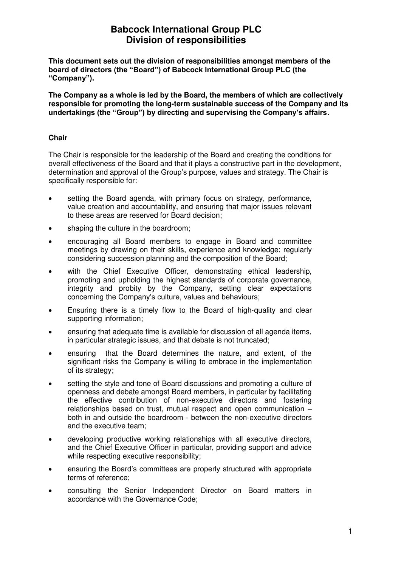**This document sets out the division of responsibilities amongst members of the board of directors (the "Board") of Babcock International Group PLC (the "Company").** 

**The Company as a whole is led by the Board, the members of which are collectively responsible for promoting the long-term sustainable success of the Company and its undertakings (the "Group") by directing and supervising the Company's affairs.** 

#### **Chair**

The Chair is responsible for the leadership of the Board and creating the conditions for overall effectiveness of the Board and that it plays a constructive part in the development, determination and approval of the Group's purpose, values and strategy. The Chair is specifically responsible for:

- setting the Board agenda, with primary focus on strategy, performance, value creation and accountability, and ensuring that major issues relevant to these areas are reserved for Board decision;
- shaping the culture in the boardroom;
- encouraging all Board members to engage in Board and committee meetings by drawing on their skills, experience and knowledge; regularly considering succession planning and the composition of the Board;
- with the Chief Executive Officer, demonstrating ethical leadership, promoting and upholding the highest standards of corporate governance, integrity and probity by the Company, setting clear expectations concerning the Company's culture, values and behaviours;
- Ensuring there is a timely flow to the Board of high‐quality and clear supporting information;
- ensuring that adequate time is available for discussion of all agenda items, in particular strategic issues, and that debate is not truncated;
- ensuring that the Board determines the nature, and extent, of the significant risks the Company is willing to embrace in the implementation of its strategy;
- setting the style and tone of Board discussions and promoting a culture of openness and debate amongst Board members, in particular by facilitating the effective contribution of non-executive directors and fostering relationships based on trust, mutual respect and open communication – both in and outside the boardroom - between the non-executive directors and the executive team;
- developing productive working relationships with all executive directors, and the Chief Executive Officer in particular, providing support and advice while respecting executive responsibility;
- ensuring the Board's committees are properly structured with appropriate terms of reference;
- consulting the Senior Independent Director on Board matters in accordance with the Governance Code;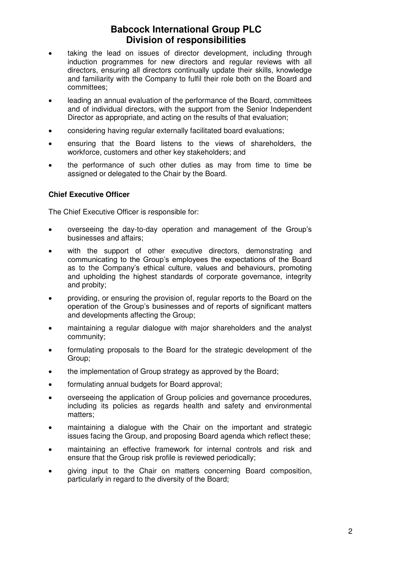- taking the lead on issues of director development, including through induction programmes for new directors and regular reviews with all directors, ensuring all directors continually update their skills, knowledge and familiarity with the Company to fulfil their role both on the Board and committees;
- leading an annual evaluation of the performance of the Board, committees and of individual directors, with the support from the Senior Independent Director as appropriate, and acting on the results of that evaluation;
- considering having regular externally facilitated board evaluations;
- ensuring that the Board listens to the views of shareholders, the workforce, customers and other key stakeholders; and
- the performance of such other duties as may from time to time be assigned or delegated to the Chair by the Board.

#### **Chief Executive Officer**

The Chief Executive Officer is responsible for:

- overseeing the day-to-day operation and management of the Group's businesses and affairs;
- with the support of other executive directors, demonstrating and communicating to the Group's employees the expectations of the Board as to the Company's ethical culture, values and behaviours, promoting and upholding the highest standards of corporate governance, integrity and probity;
- providing, or ensuring the provision of, regular reports to the Board on the operation of the Group's businesses and of reports of significant matters and developments affecting the Group;
- maintaining a regular dialogue with major shareholders and the analyst community;
- formulating proposals to the Board for the strategic development of the Group;
- the implementation of Group strategy as approved by the Board;
- formulating annual budgets for Board approval;
- overseeing the application of Group policies and governance procedures, including its policies as regards health and safety and environmental matters;
- maintaining a dialogue with the Chair on the important and strategic issues facing the Group, and proposing Board agenda which reflect these;
- maintaining an effective framework for internal controls and risk and ensure that the Group risk profile is reviewed periodically;
- giving input to the Chair on matters concerning Board composition, particularly in regard to the diversity of the Board;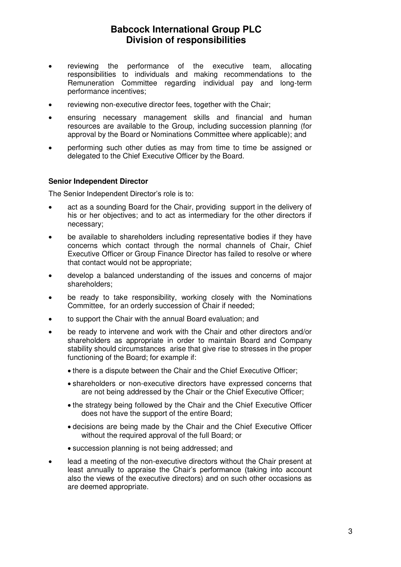- reviewing the performance of the executive team, allocating responsibilities to individuals and making recommendations to the Remuneration Committee regarding individual pay and long-term performance incentives;
- reviewing non-executive director fees, together with the Chair;
- ensuring necessary management skills and financial and human resources are available to the Group, including succession planning (for approval by the Board or Nominations Committee where applicable); and
- performing such other duties as may from time to time be assigned or delegated to the Chief Executive Officer by the Board.

#### **Senior Independent Director**

The Senior Independent Director's role is to:

- act as a sounding Board for the Chair, providing support in the delivery of his or her objectives; and to act as intermediary for the other directors if necessary;
- be available to shareholders including representative bodies if they have concerns which contact through the normal channels of Chair, Chief Executive Officer or Group Finance Director has failed to resolve or where that contact would not be appropriate;
- develop a balanced understanding of the issues and concerns of major shareholders;
- be ready to take responsibility, working closely with the Nominations Committee, for an orderly succession of Chair if needed;
- to support the Chair with the annual Board evaluation; and
- be ready to intervene and work with the Chair and other directors and/or shareholders as appropriate in order to maintain Board and Company stability should circumstances arise that give rise to stresses in the proper functioning of the Board; for example if:
	- there is a dispute between the Chair and the Chief Executive Officer;
	- shareholders or non-executive directors have expressed concerns that are not being addressed by the Chair or the Chief Executive Officer;
	- the strategy being followed by the Chair and the Chief Executive Officer does not have the support of the entire Board;
	- decisions are being made by the Chair and the Chief Executive Officer without the required approval of the full Board; or
	- succession planning is not being addressed; and
- lead a meeting of the non-executive directors without the Chair present at least annually to appraise the Chair's performance (taking into account also the views of the executive directors) and on such other occasions as are deemed appropriate.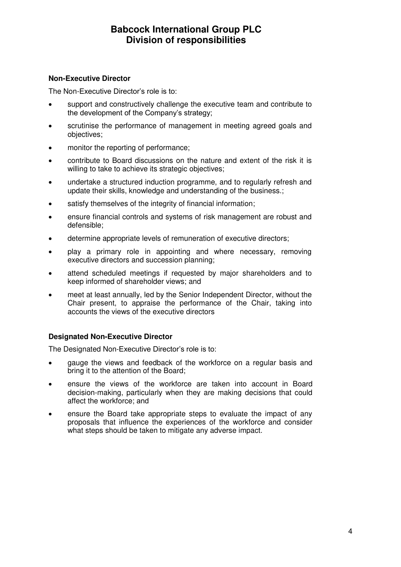#### **Non-Executive Director**

The Non-Executive Director's role is to:

- support and constructively challenge the executive team and contribute to the development of the Company's strategy;
- scrutinise the performance of management in meeting agreed goals and objectives;
- monitor the reporting of performance:
- contribute to Board discussions on the nature and extent of the risk it is willing to take to achieve its strategic objectives;
- undertake a structured induction programme, and to regularly refresh and update their skills, knowledge and understanding of the business.;
- satisfy themselves of the integrity of financial information;
- ensure financial controls and systems of risk management are robust and defensible;
- determine appropriate levels of remuneration of executive directors;
- play a primary role in appointing and where necessary, removing executive directors and succession planning;
- attend scheduled meetings if requested by major shareholders and to keep informed of shareholder views; and
- meet at least annually, led by the Senior Independent Director, without the Chair present, to appraise the performance of the Chair, taking into accounts the views of the executive directors

#### **Designated Non-Executive Director**

The Designated Non-Executive Director's role is to:

- gauge the views and feedback of the workforce on a regular basis and bring it to the attention of the Board;
- ensure the views of the workforce are taken into account in Board decision-making, particularly when they are making decisions that could affect the workforce; and
- ensure the Board take appropriate steps to evaluate the impact of any proposals that influence the experiences of the workforce and consider what steps should be taken to mitigate any adverse impact.